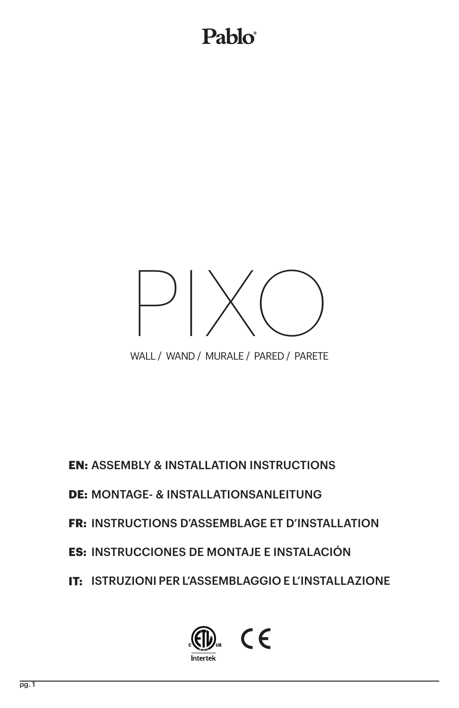## Pablo®



WALL / WAND / MURALE / PARED / PARETE

**EN: ASSEMBLY & INSTALLATION INSTRUCTIONS** 

**DE: MONTAGE- & INSTALLATIONSANLEITUNG** 

**FR: INSTRUCTIONS D'ASSEMBLAGE ET D'INSTALLATION** 

**ES: INSTRUCCIONES DE MONTAJE E INSTALACIÓN** 

IT: ISTRUZIONI PER L'ASSEMBLAGGIO E L'INSTALLAZIONE

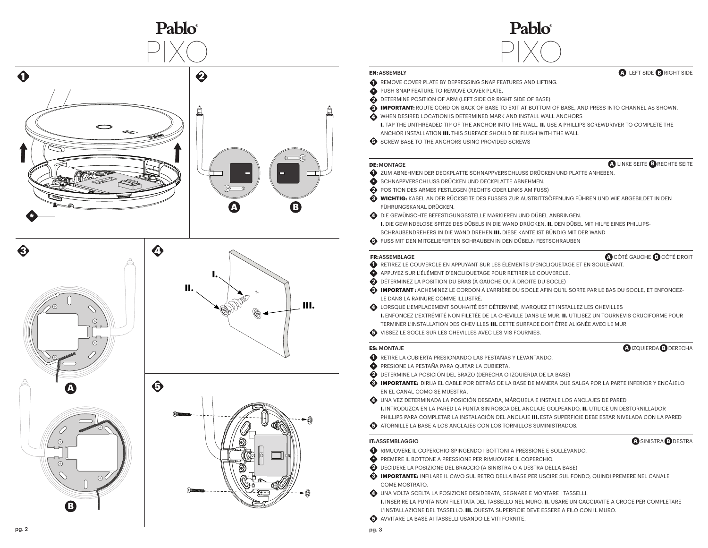

#### **EN:** ASSEMBLY

- REMOVE COVER PLATE BY DEPRESSING SNAP FEATURES AND LIFTING.
- **PUSH SNAP FEATURE TO REMOVE COVER PLATE.**
- **O DETERMINE POSITION OF ARM (LEFT SIDE OR RIGHT SIDE OF BASE) 1\*234**
- **IMPORTANT:** ROUTE CORD ON BACK OF BASE TO EXIT AT BOTTOM OF BASE, AND PRESS INTO CHANNEL AS SHOWN.

Pablo

- WHEN DESIRED LOCATION IS DETERMINED MARK AND INSTALL WALL ANCHORS
- **I.** TAP THE UNTHREADED TIP OF THE ANCHOR INTO THE WALL. **II.** USE A PHILLIPS SCREWDRIVER TO COMPLETE THE ANCHOR INSTALLATION **III.** THIS SURFACE SHOULD BE FLUSH WITH THE WALL
- **B** SCREW BASE TO THE ANCHORS USING PROVIDED SCREWS

#### **DE:** MONTAGE

#### **A** LINKE SEITE **B** RECHTE SEITE

**A** LEFT SIDE **B** RIGHT SIDE

- **D** zum ABNEHMEN DER DECKPLATTE SCHNAPPVERSCHLUSS DRÜCKEN UND PLATTE ANHEBEN.
- SCHNAPPVERSCHLUSS DRÜCKEN UND DECKPLATTE ABNEHMEN.
- **EXECUTED POSITION DES ARMES FESTLEGEN (RECHTS ODER LINKS AM FUSS)**
- **WICHTIG:** KABEL AN DER RÜCKSEITE DES FUSSES ZUR AUSTRITTSÖFFNUNG FÜHREN UND WIE ABGEBILDET IN DEN FÜHRUNGSKANAL DRÜCKEN. **\*2345**
- DIE GEWÜNSCHTE BEFESTIGUNGSSTELLE MARKIEREN UND DÜBEL ANBRINGEN.
- **I.** DIE GEWINDELOSE SPITZE DES DÜBELS IN DIE WAND DRÜCKEN. **II.** DEN DÜBEL MIT HILFE EINES PHILLIPS-SCHRAUBENDREHERS IN DIE WAND DREHEN **III.** DIESE KANTE IST BÜNDIG MIT DER WAND
- **G** FUSS MIT DEN MITGELIEFERTEN SCHRAUBEN IN DEN DÜBELN FESTSCHRAUBEN

#### **FR:** ASSEMBLAGE

### CÔTÉ GAUCHE CÔTÉ DROIT **A B**

**A** IZQUIERDA **B** DERECHA

SINISTRA DESTRA **A B**

- RETIREZ LE COUVERCLE EN APPUYANT SUR LES ÉLÉMENTS D'ENCLIQUETAGE ET EN SOULEVANT.
- APPUYEZ SUR L'ÉLÉMENT D'ENCLIQUETAGE POUR RETIRER LE COUVERCLE.
- $\bullet$  déterminez la position du bras (à gauche ou à droite du socle)
- **IMPORTANT :** ACHEMINEZ LE CORDON À L'ARRIÈRE DU SOCLE AFIN QU'IL SORTE PAR LE BAS DU SOCLE, ET ENFONCEZ-LE DANS LA RAINURE COMME ILLUSTRÉ.
- LORSQUE L'EMPLACEMENT SOUHAITÉ EST DÉTERMINÉ, MARQUEZ ET INSTALLEZ LES CHEVILLES **I.** ENFONCEZ L'EXTRÉMITÉ NON FILETÉE DE LA CHEVILLE DANS LE MUR. **II.** UTILISEZ UN TOURNEVIS CRUCIFORME POUR TERMINER L'INSTALLATION DES CHEVILLES **III.** CETTE SURFACE DOIT ÊTRE ALIGNÉE AVEC LE MUR 10226<br>1
- VISSEZ LE SOCLE SUR LES CHEVILLES AVEC LES VIS FOURNIES.

#### **ES:** MONTAJE

- RETIRE LA CUBIERTA PRESIONANDO LAS PESTAÑAS Y LEVANTANDO.
- PRESIONE LA PESTAÑA PARA QUITAR LA CUBIERTA.
- DETERMINE LA POSICIÓN DEL BRAZO (DERECHA O IZQUIERDA DE LA BASE)
- **IMPORTANTE:** DIRIJA EL CABLE POR DETRÁS DE LA BASE DE MANERA QUE SALGA POR LA PARTE INFERIOR Y ENCÁJELO EN EL CANAL COMO SE MUESTRA.
- UNA VEZ DETERMINADA LA POSICIÓN DESEADA, MÁRQUELA E INSTALE LOS ANCLAJES DE PARED **I.** INTRODUZCA EN LA PARED LA PUNTA SIN ROSCA DEL ANCLAJE GOLPEANDO. **II.** UTILICE UN DESTORNILLADOR PHILLIPS PARA COMPLETAR LA INSTALACIÓN DEL ANCLAJE **III.** ESTA SUPERFICIE DEBE ESTAR NIVELADA CON LA PARED 10226<br>1
- ATORNILLE LA BASE A LOS ANCLAJES CON LOS TORNILLOS SUMINISTRADOS.

#### **IT:**ASSEMBLAGGIO

- RIMUOVERE IL COPERCHIO SPINGENDO I BOTTONI A PRESSIONE E SOLLEVANDO.
- PREMERE IL BOTTONE A PRESSIONE PER RIMUOVERE IL COPERCHIO.
- DECIDERE LA POSIZIONE DEL BRACCIO (A SINISTRA O A DESTRA DELLA BASE)
- **IMPORTANTE:** INFILARE IL CAVO SUL RETRO DELLA BASE PER USCIRE SUL FONDO, QUINDI PREMERE NEL CANALE COME MOSTRATO.
- UNA VOLTA SCELTA LA POSIZIONE DESIDERATA, SEGNARE E MONTARE I TASSELLI.
- **I.** INSERIRE LA PUNTA NON FILETTATA DEL TASSELLO NEL MURO. **II.** USARE UN CACCIAVITE A CROCE PER COMPLETARE L'INSTALLAZIONE DEL TASSELLO. **III.** QUESTA SUPERFICIE DEVE ESSERE A FILO CON IL MURO. 10226<br>1
- AVVITARE LA BASE AI TASSELLI USANDO LE VITI FORNITE.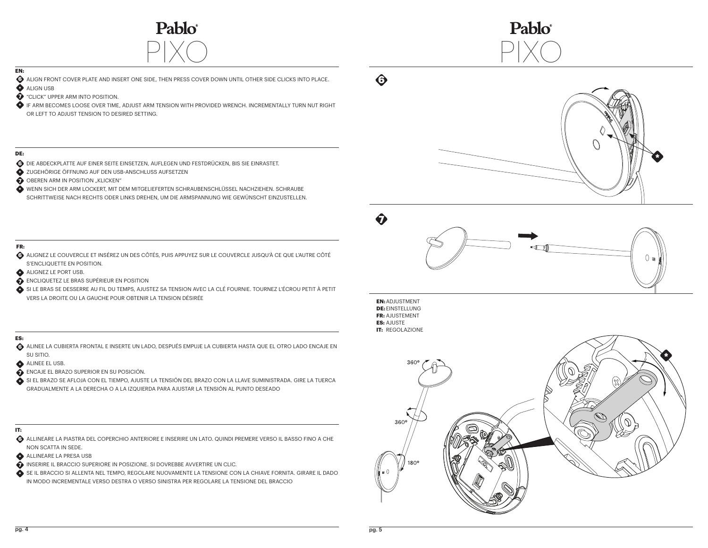



## **EN:**

- ALIGN FRONT COVER PLATE AND INSERT ONE SIDE, THEN PRESS COVER DOWN UNTIL OTHER SIDE CLICKS INTO PLACE. **6**
- **ALIGN USB 7** "CLICK" UPPER ARM INTO POSITION.
- IF ARM BECOMES LOOSE OVER TIME, ADJUST ARM TENSION WITH PROVIDED WRENCH. INCREMENTALLY TURN NUT RIGHT **\*** OR LEFT TO ADJUST TENSION TO DESIRED SETTING.

#### **DE:**

- DIE ABDECKPLATTE AUF EINER SEITE EINSETZEN, AUFLEGEN UND FESTDRÜCKEN, BIS SIE EINRASTET. **6**
- ZUGEHÖRIGE ÖFFNUNG AUF DEN USB-ANSCHLUSS AUFSETZEN **\***
- **D** OBEREN ARM IN POSITION "KLICKEN"
- WENN SICH DER ARM LOCKERT, MIT DEM MITGELIEFERTEN SCHRAUBENSCHLÜSSEL NACHZIEHEN. SCHRAUBE **\*** SCHRITTWEISE NACH RECHTS ODER LINKS DREHEN, UM DIE ARMSPANNUNG WIE GEWÜNSCHT EINZUSTELLEN.

### **FR:**

- ALIGNEZ LE COUVERCLE ET INSÉREZ UN DES CÔTÉS, PUIS APPUYEZ SUR LE COUVERCLE JUSQU'À CE QUE L'AUTRE CÔTÉ **6** S'ENCLIQUETTE EN POSITION.
- ALIGNEZ LE PORT USB. **\***
- ENCLIQUETEZ LE BRAS SUPÉRIEUR EN POSITION **7**
- SI LE BRAS SE DESSERRE AU FIL DU TEMPS, AJUSTEZ SA TENSION AVEC LA CLÉ FOURNIE. TOURNEZ L'ÉCROU PETIT À PETIT **\*** VERS LA DROITE OU LA GAUCHE POUR OBTENIR LA TENSION DÉSIRÉE

#### **ES:**

- ALINEE LA CUBIERTA FRONTAL E INSERTE UN LADO, DESPUÉS EMPUJE LA CUBIERTA HASTA QUE EL OTRO LADO ENCAJE EN **6** SU SITIO.
- **ALINEE EL USB.**
- ENCAJE EL BRAZO SUPERIOR EN SU POSICIÓN. **7**
- SI EL BRAZO SE AFLOJA CON EL TIEMPO, AJUSTE LA TENSIÓN DEL BRAZO CON LA LLAVE SUMINISTRADA. GIRE LA TUERCA **\*** GRADUALMENTE A LA DERECHA O A LA IZQUIERDA PARA AJUSTAR LA TENSIÓN AL PUNTO DESEADO
- **IT:**
- ALLINEARE LA PIASTRA DEL COPERCHIO ANTERIORE E INSERIRE UN LATO. QUINDI PREMERE VERSO IL BASSO FINO A CHE **6** NON SCATTA IN SEDE.
- ALLINEARE LA PRESA USB **\***
- INSERIRE IL BRACCIO SUPERIORE IN POSIZIONE. SI DOVREBBE AVVERTIRE UN CLIC. **7**
- SE IL BRACCIO SI ALLENTA NEL TEMPO, REGOLARE NUOVAMENTE LA TENSIONE CON LA CHIAVE FORNITA. GIRARE IL DADO **\***IN MODO INCREMENTALE VERSO DESTRA O VERSO SINISTRA PER REGOLARE LA TENSIONE DEL BRACCIO



**\***

**EN: ADJUSTMENT DE:** EINSTELLUNG **FR: AJUSTEMENT ES: AJUSTE IT: REGOLAZIONE** 

**6**

**7**

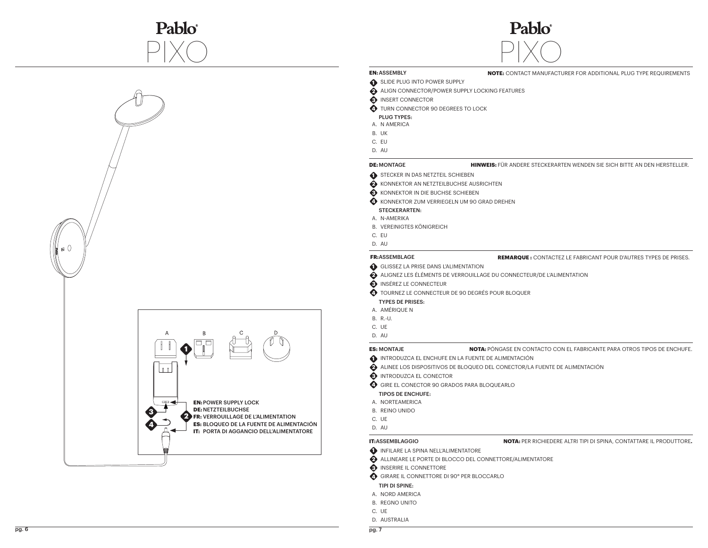



#### **NOTE:** CONTACT MANUFACTURER FOR ADDITIONAL PLUG TYPE REQUIREMENTS

**HINWEIS:** FÜR ANDERE STECKERARTEN WENDEN SIE SICH BITTE AN DEN HERSTELLER.

- **1** SLIDE PLUG INTO POWER SUPPLY
- ALIGN CONNECTOR/POWER SUPPLY LOCKING FEATURES **2**
- **3** INSERT CONNECTOR
- 
- **4** TURN CONNECTOR 90 DEGREES TO LOCK PLUG TYPES:
- A. N AMERICA

**EN:** ASSEMBLY

- UK B.
- C. EU
- 
- AU D.
- **DE:** MONTAGE
- **1** STECKER IN DAS NETZTEIL SCHIEBEN
- KONNEKTOR AN NETZTEILBUCHSE AUSRICHTEN **2**
- **3** KONNEKTOR IN DIE BUCHSE SCHIEBEN
- **A** KONNEKTOR ZUM VERRIEGELN UM 90 GRAD DREHEN

#### STECKERARTEN:

- A. N-AMERIKA
- B. VEREINIGTES KÖNIGREICH
- 
- 

- **REMARQUE :** CONTACTEZ LE FABRICANT POUR D'AUTRES TYPES DE PRISES.
- GLISSEZ LA PRISE DANS L'ALIMENTATION **1**
- ALIGNEZ LES ÉLÉMENTS DE VERROUILLAGE DU CONNECTEUR/DE L'ALIMENTATION **2**
- **3** INSÉREZ LE CONNECTEUR
- TOURNEZ LE CONNECTEUR DE 90 DEGRÉS POUR BLOQUER **4**
- TYPES DE PRISES:
- A. AMÉRIQUE N
- R.-U. B.
- C. UE
- AU D.
- **ES:** MONTAJE
	-
- ALINEE LOS DISPOSITIVOS DE BLOQUEO DEL CONECTOR/LA FUENTE DE ALIMENTACIÓN **2**
- 
- 

#### TIPOS DE ENCHUFE:

- 
- B. REINO UNIDO
- C. UE
- AU D.

#### **IT:**ASSEMBLAGGIO

- **1** INFILARE LA SPINA NELL'ALIMENTATORE
- ALLINEARE LE PORTE DI BLOCCO DEL CONNETTORE/ALIMENTATORE **2**
- **3** INSERIRE IL CONNETTORE
- GIRARE IL CONNETTORE DI 90° PER BLOCCARLO **4**

#### TIPI DI SPINE:

- A. NORD AMERICA
- **B. REGNO UNITO**
- C. UE
- D. AUSTRALIA

- **NOTA:** PÓNGASE EN CONTACTO CON EL FABRICANTE PARA OTROS TIPOS DE ENCHUFE.
- INTRODUZCA EL ENCHUFE EN LA FUENTE DE ALIMENTACIÓN **1**
	-
- **3** INTRODUZCA EL CONECTOR
- GIRE EL CONECTOR 90 GRADOS PARA BLOQUEARLO **4**
- 
- A. NORTEAMERICA
- -
	-

**NOTA:** PER RICHIEDERE ALTRI TIPI DI SPINA, CONTATTARE IL PRODUTTORE**.**



- 
- C. EU
- AU D.

### **FR:** ASSEMBLAGE

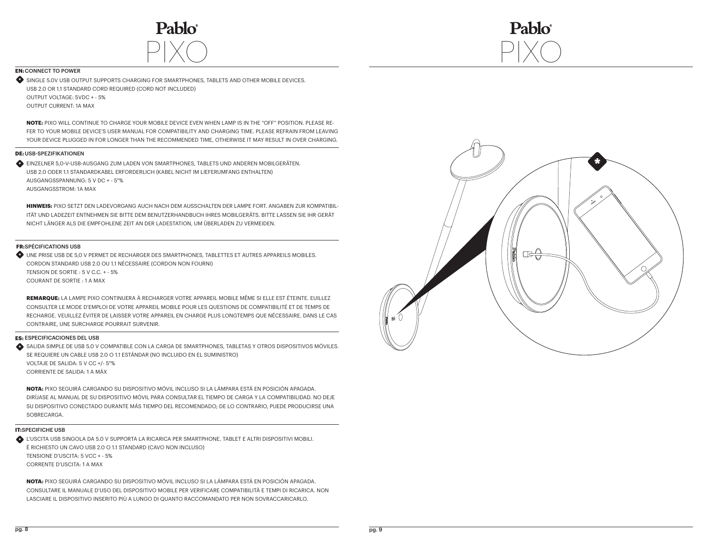



#### **EN: CONNECT TO POWER**

SINGLE 5.0V USB OUTPUT SUPPORTS CHARGING FOR SMARTPHONES, TABLETS AND OTHER MOBILE DEVICES. **\*** USB 2.0 OR 1.1 STANDARD CORD REQUIRED (CORD NOT INCLUDED) OUTPUT VOLTAGE: 5VDC + - 5% OUTPUT CURRENT: 1A MAX

**NOTE:** PIXO WILL CONTINUE TO CHARGE YOUR MOBILE DEVICE EVEN WHEN LAMP IS IN THE "OFF" POSITION. PLEASE RE-FER TO YOUR MOBILE DEVICE'S USER MANUAL FOR COMPATIBILITY AND CHARGING TIME. PLEASE REFRAIN FROM LEAVING YOUR DEVICE PLUGGED IN FOR LONGER THAN THE RECOMMENDED TIME, OTHERWISE IT MAY RESULT IN OVER CHARGING.

#### **DE:** USB-SPEZIFIKATIONEN

**\*** EINZELNER 5,0-V-USB-AUSGANG ZUM LADEN VON SMARTPHONES, TABLETS UND ANDEREN MOBILGERÄTEN. USB 2.0 ODER 1.1 STANDARDKABEL ERFORDERLICH (KABEL NICHT IM LIEFERUMFANG ENTHALTEN) AUSGANGSSPANNUNG: 5 V DC + - 5"% AUSGANGSSTROM: 1A MAX

**HINWEIS:** PIXO SETZT DEN LADEVORGANG AUCH NACH DEM AUSSCHALTEN DER LAMPE FORT. ANGABEN ZUR KOMPATIBIL-ITÄT UND LADEZEIT ENTNEHMEN SIE BITTE DEM BENUTZERHANDBUCH IHRES MOBILGERÄTS. BITTE LASSEN SIE IHR GERÄT NICHT LÄNGER ALS DIE EMPFOHLENE ZEIT AN DER LADESTATION, UM ÜBERLADEN ZU VERMEIDEN.

#### **FR: SPÉCIFICATIONS USB**

UNE PRISE USB DE 5,0 V PERMET DE RECHARGER DES SMARTPHONES, TABLETTES ET AUTRES APPAREILS MOBILES. **\*** CORDON STANDARD USB 2.0 OU 1.1 NÉCESSAIRE (CORDON NON FOURNI) TENSION DE SORTIE : 5 V C.C. + - 5% COURANT DE SORTIE : 1 A MAX

**REMARQUE:** LA LAMPE PIXO CONTINUERA À RECHARGER VOTRE APPAREIL MOBILE MÊME SI ELLE EST ÉTEINTE. EUILLEZ CONSULTER LE MODE D'EMPLOI DE VOTRE APPAREIL MOBILE POUR LES QUESTIONS DE COMPATIBILITÉ ET DE TEMPS DE RECHARGE. VEUILLEZ ÉVITER DE LAISSER VOTRE APPAREIL EN CHARGE PLUS LONGTEMPS QUE NÉCESSAIRE. DANS LE CAS CONTRAIRE, UNE SURCHARGE POURRAIT SURVENIR.

#### **ES:** ESPECIFICACIONES DEL USB

SALIDA SIMPLE DE USB 5.0 V COMPATIBLE CON LA CARGA DE SMARTPHONES, TABLETAS Y OTROS DISPOSITIVOS MÓVILES. **\*** SE REQUIERE UN CABLE USB 2.0 O 1.1 ESTÁNDAR (NO INCLUIDO EN EL SUMINISTRO) VOLTAJE DE SALIDA: 5 V CC +/- 5"% CORRIENTE DE SALIDA: 1 A MÁX

**NOTA:** PIXO SEGUIRÁ CARGANDO SU DISPOSITIVO MÓVIL INCLUSO SI LA LÁMPARA ESTÁ EN POSICIÓN APAGADA. DIRÍJASE AL MANUAL DE SU DISPOSITIVO MÓVIL PARA CONSULTAR EL TIEMPO DE CARGA Y LA COMPATIBILIDAD. NO DEJE SU DISPOSITIVO CONECTADO DURANTE MÁS TIEMPO DEL RECOMENDADO; DE LO CONTRARIO, PUEDE PRODUCIRSE UNA SOBRECARGA.

#### **IT:**SPECIFICHE USB

L'USCITA USB SINGOLA DA 5.0 V SUPPORTA LA RICARICA PER SMARTPHONE, TABLET E ALTRI DISPOSITIVI MOBILI. **\***È RICHIESTO UN CAVO USB 2.0 O 1.1 STANDARD (CAVO NON INCLUSO) TENSIONE D'USCITA: 5 VCC + - 5% CORRENTE D'USCITA: 1 A MAX

**NOTA:** PIXO SEGUIRÁ CARGANDO SU DISPOSITIVO MÓVIL INCLUSO SI LA LÁMPARA ESTÁ EN POSICIÓN APAGADA. CONSULTARE IL MANUALE D'USO DEL DISPOSITIVO MOBILE PER VERIFICARE COMPATIBILITÀ E TEMPI DI RICARICA. NON LASCIARE IL DISPOSITIVO INSERITO PIÙ A LUNGO DI QUANTO RACCOMANDATO PER NON SOVRACCARICARLO.

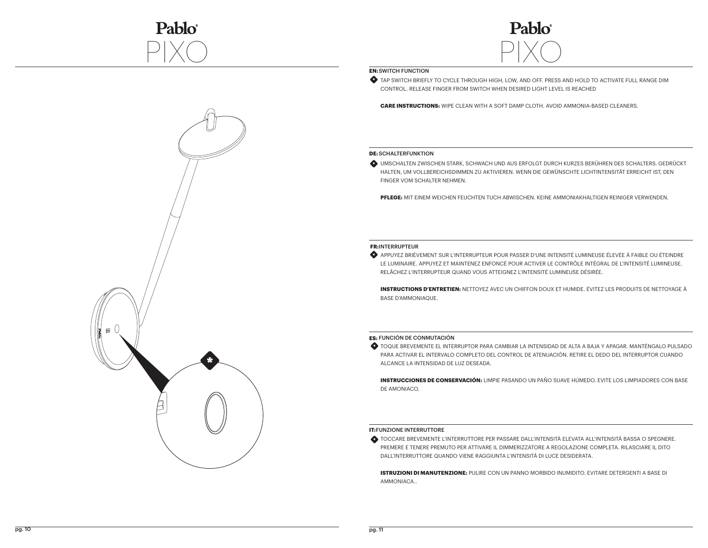



#### **EN: SWITCH FUNCTION**

TAP SWITCH BRIEFLY TO CYCLE THROUGH HIGH, LOW, AND OFF. PRESS AND HOLD TO ACTIVATE FULL RANGE DIM **\*** CONTROL. RELEASE FINGER FROM SWITCH WHEN DESIRED LIGHT LEVEL IS REACHED

**CARE INSTRUCTIONS:** WIPE CLEAN WITH A SOFT DAMP CLOTH. AVOID AMMONIA-BASED CLEANERS.

#### **DE:** SCHALTERFUNKTION

UMSCHALTEN ZWISCHEN STARK, SCHWACH UND AUS ERFOLGT DURCH KURZES BERÜHREN DES SCHALTERS. GEDRÜCKT **\*** HALTEN, UM VOLLBEREICHSDIMMEN ZU AKTIVIEREN. WENN DIE GEWÜNSCHTE LICHTINTENSITÄT ERREICHT IST, DEN FINGER VOM SCHALTER NEHMEN.

**PFLEGE:** MIT EINEM WEICHEN FEUCHTEN TUCH ABWISCHEN. KEINE AMMONIAKHALTIGEN REINIGER VERWENDEN.

#### **FR:** INTERRUPTEUR

APPUYEZ BRIÈVEMENT SUR L'INTERRUPTEUR POUR PASSER D'UNE INTENSITÉ LUMINEUSE ÉLEVÉE À FAIBLE OU ÉTEINDRE **\*** LE LUMINAIRE. APPUYEZ ET MAINTENEZ ENFONCÉ POUR ACTIVER LE CONTRÔLE INTÉGRAL DE L'INTENSITÉ LUMINEUSE. RELÂCHEZ L'INTERRUPTEUR QUAND VOUS ATTEIGNEZ L'INTENSITÉ LUMINEUSE DÉSIRÉE.

**INSTRUCTIONS D'ENTRETIEN:** NETTOYEZ AVEC UN CHIFFON DOUX ET HUMIDE. ÉVITEZ LES PRODUITS DE NETTOYAGE À BASE D'AMMONIAQUE.

#### **ES:** FUNCIÓN DE CONMUTACIÓN

TOQUE BREVEMENTE EL INTERRUPTOR PARA CAMBIAR LA INTENSIDAD DE ALTA A BAJA Y APAGAR. MANTÉNGALO PULSADO **\*** PARA ACTIVAR EL INTERVALO COMPLETO DEL CONTROL DE ATENUACIÓN. RETIRE EL DEDO DEL INTERRUPTOR CUANDO ALCANCE LA INTENSIDAD DE LUZ DESEADA.

**INSTRUCCIONES DE CONSERVACIÓN:** LIMPIE PASANDO UN PAÑO SUAVE HÚMEDO. EVITE LOS LIMPIADORES CON BASE DE AMONIACO.

#### **IT:**FUNZIONE INTERRUTTORE

TOCCARE BREVEMENTE L'INTERRUTTORE PER PASSARE DALL'INTENSITÀ ELEVATA ALL'INTENSITÀ BASSA O SPEGNERE. **\*** PREMERE E TENERE PREMUTO PER ATTIVARE IL DIMMERIZZATORE A REGOLAZIONE COMPLETA. RILASCIARE IL DITO DALL'INTERRUTTORE QUANDO VIENE RAGGIUNTA L'INTENSITÀ DI LUCE DESIDERATA.

**ISTRUZIONI DI MANUTENZIONE:** PULIRE CON UN PANNO MORBIDO INUMIDITO. EVITARE DETERGENTI A BASE DI AMMONIACA..